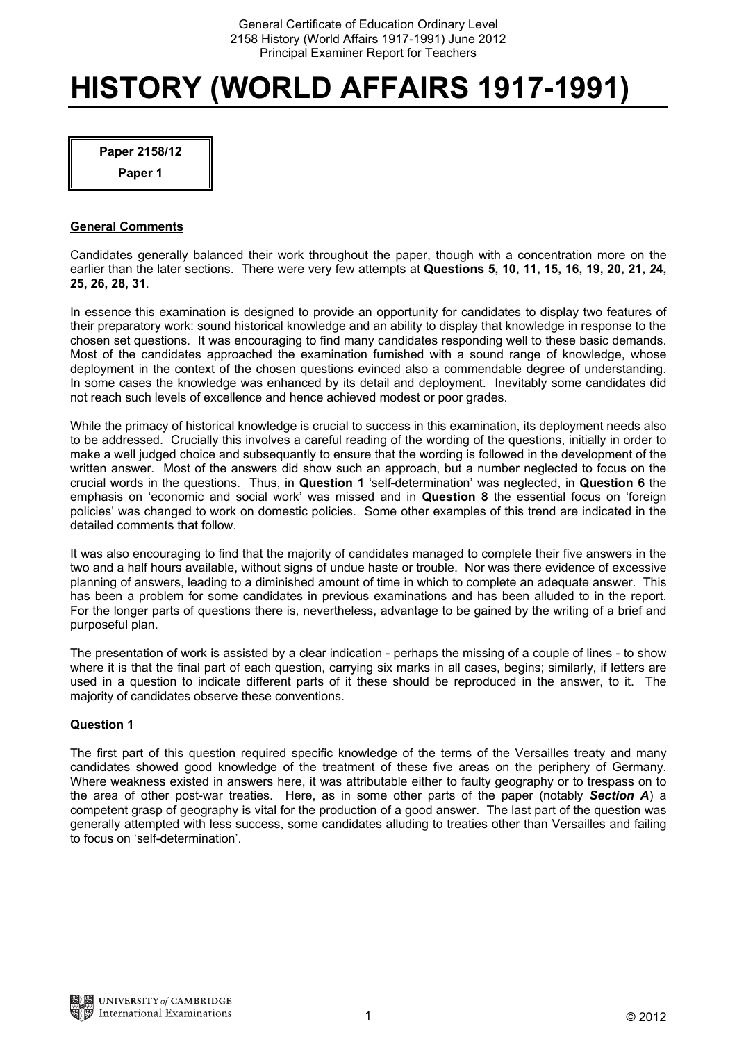# **HISTORY (WORLD AFFAIRS 1917-1991)**

**Paper 2158/12** 

**Paper 1** 

# **General Comments**

Candidates generally balanced their work throughout the paper, though with a concentration more on the earlier than the later sections. There were very few attempts at **Questions 5, 10, 11, 15, 16, 19, 20, 21,** *2***4, 25, 26, 28, 31**.

In essence this examination is designed to provide an opportunity for candidates to display two features of their preparatory work: sound historical knowledge and an ability to display that knowledge in response to the chosen set questions. It was encouraging to find many candidates responding well to these basic demands. Most of the candidates approached the examination furnished with a sound range of knowledge, whose deployment in the context of the chosen questions evinced also a commendable degree of understanding. In some cases the knowledge was enhanced by its detail and deployment. Inevitably some candidates did not reach such levels of excellence and hence achieved modest or poor grades.

While the primacy of historical knowledge is crucial to success in this examination, its deployment needs also to be addressed. Crucially this involves a careful reading of the wording of the questions, initially in order to make a well judged choice and subsequantly to ensure that the wording is followed in the development of the written answer. Most of the answers did show such an approach, but a number neglected to focus on the crucial words in the questions. Thus, in **Question 1** 'self-determination' was neglected, in **Question 6** the emphasis on 'economic and social work' was missed and in **Question 8** the essential focus on 'foreign policies' was changed to work on domestic policies. Some other examples of this trend are indicated in the detailed comments that follow.

It was also encouraging to find that the majority of candidates managed to complete their five answers in the two and a half hours available, without signs of undue haste or trouble. Nor was there evidence of excessive planning of answers, leading to a diminished amount of time in which to complete an adequate answer. This has been a problem for some candidates in previous examinations and has been alluded to in the report. For the longer parts of questions there is, nevertheless, advantage to be gained by the writing of a brief and purposeful plan.

The presentation of work is assisted by a clear indication - perhaps the missing of a couple of lines - to show where it is that the final part of each question, carrying six marks in all cases, begins; similarly, if letters are used in a question to indicate different parts of it these should be reproduced in the answer, to it. The majority of candidates observe these conventions.

# **Question 1**

The first part of this question required specific knowledge of the terms of the Versailles treaty and many candidates showed good knowledge of the treatment of these five areas on the periphery of Germany. Where weakness existed in answers here, it was attributable either to faulty geography or to trespass on to the area of other post-war treaties. Here, as in some other parts of the paper (notably *Section A*) a competent grasp of geography is vital for the production of a good answer. The last part of the question was generally attempted with less success, some candidates alluding to treaties other than Versailles and failing to focus on 'self-determination'.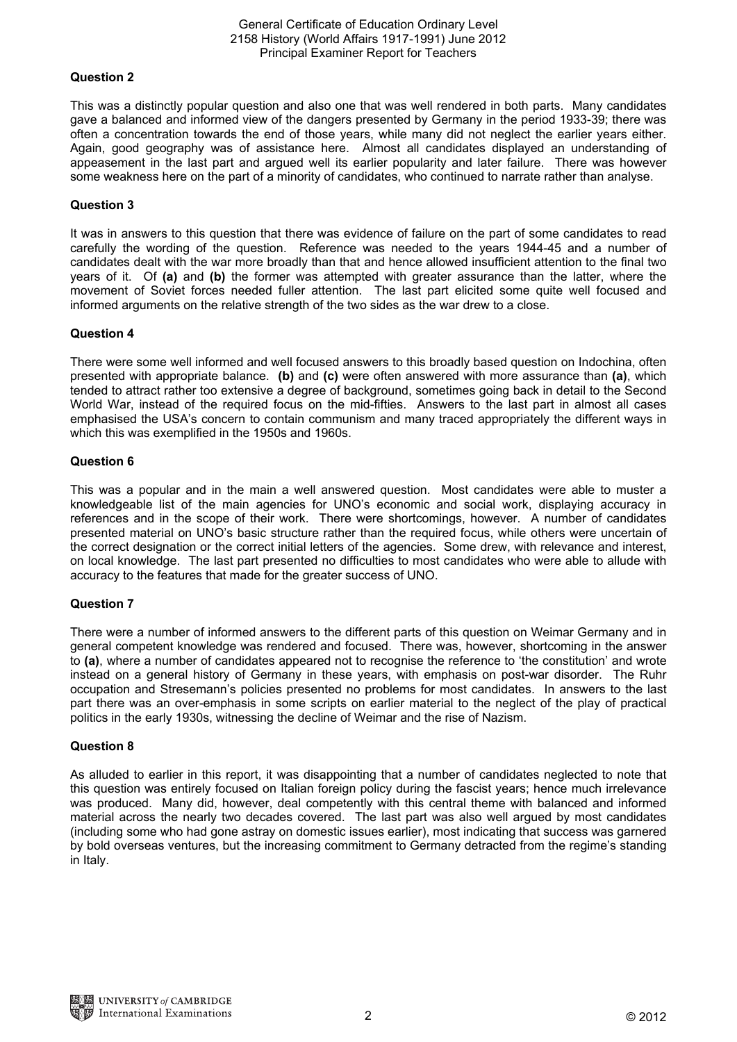### General Certificate of Education Ordinary Level 2158 History (World Affairs 1917-1991) June 2012 Principal Examiner Report for Teachers

# **Question 2**

This was a distinctly popular question and also one that was well rendered in both parts. Many candidates gave a balanced and informed view of the dangers presented by Germany in the period 1933-39; there was often a concentration towards the end of those years, while many did not neglect the earlier years either. Again, good geography was of assistance here. Almost all candidates displayed an understanding of appeasement in the last part and argued well its earlier popularity and later failure. There was however some weakness here on the part of a minority of candidates, who continued to narrate rather than analyse.

# **Question 3**

It was in answers to this question that there was evidence of failure on the part of some candidates to read carefully the wording of the question. Reference was needed to the years 1944-45 and a number of candidates dealt with the war more broadly than that and hence allowed insufficient attention to the final two years of it. Of **(a)** and **(b)** the former was attempted with greater assurance than the latter, where the movement of Soviet forces needed fuller attention. The last part elicited some quite well focused and informed arguments on the relative strength of the two sides as the war drew to a close.

## **Question 4**

There were some well informed and well focused answers to this broadly based question on Indochina, often presented with appropriate balance. **(b)** and **(c)** were often answered with more assurance than **(a)**, which tended to attract rather too extensive a degree of background, sometimes going back in detail to the Second World War, instead of the required focus on the mid-fifties. Answers to the last part in almost all cases emphasised the USA's concern to contain communism and many traced appropriately the different ways in which this was exemplified in the 1950s and 1960s.

### **Question 6**

This was a popular and in the main a well answered question. Most candidates were able to muster a knowledgeable list of the main agencies for UNO's economic and social work, displaying accuracy in references and in the scope of their work. There were shortcomings, however. A number of candidates presented material on UNO's basic structure rather than the required focus, while others were uncertain of the correct designation or the correct initial letters of the agencies. Some drew, with relevance and interest, on local knowledge. The last part presented no difficulties to most candidates who were able to allude with accuracy to the features that made for the greater success of UNO.

### **Question 7**

There were a number of informed answers to the different parts of this question on Weimar Germany and in general competent knowledge was rendered and focused. There was, however, shortcoming in the answer to **(a)**, where a number of candidates appeared not to recognise the reference to 'the constitution' and wrote instead on a general history of Germany in these years, with emphasis on post-war disorder. The Ruhr occupation and Stresemann's policies presented no problems for most candidates. In answers to the last part there was an over-emphasis in some scripts on earlier material to the neglect of the play of practical politics in the early 1930s, witnessing the decline of Weimar and the rise of Nazism.

### **Question 8**

As alluded to earlier in this report, it was disappointing that a number of candidates neglected to note that this question was entirely focused on Italian foreign policy during the fascist years; hence much irrelevance was produced. Many did, however, deal competently with this central theme with balanced and informed material across the nearly two decades covered. The last part was also well argued by most candidates (including some who had gone astray on domestic issues earlier), most indicating that success was garnered by bold overseas ventures, but the increasing commitment to Germany detracted from the regime's standing in Italy.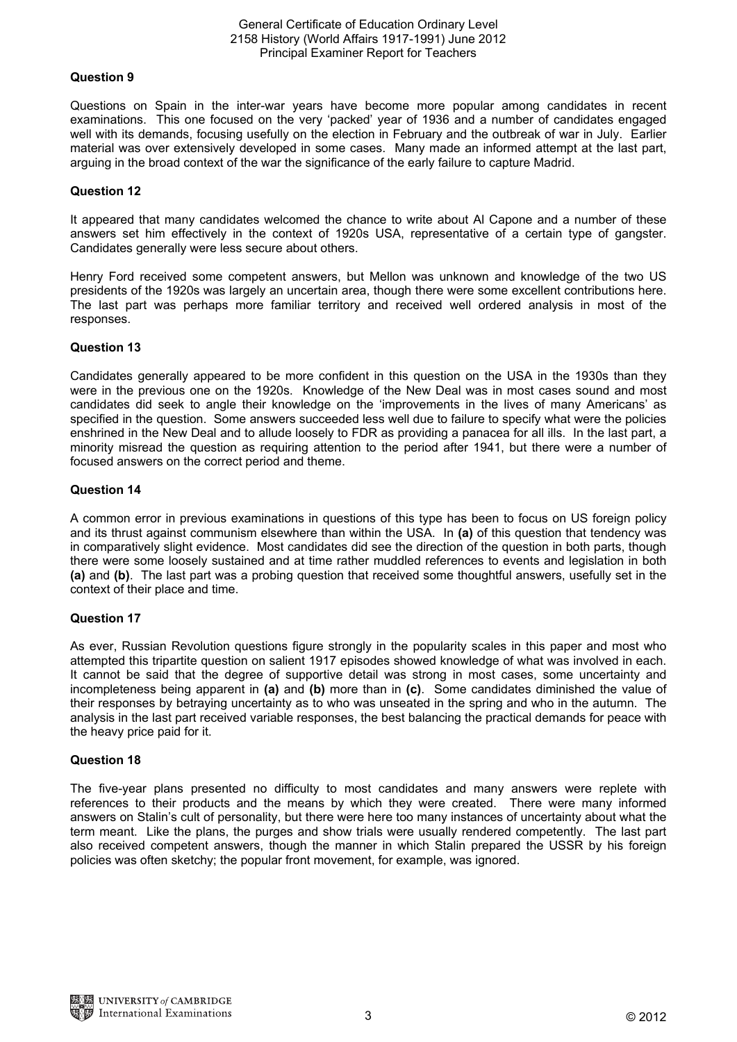#### General Certificate of Education Ordinary Level 2158 History (World Affairs 1917-1991) June 2012 Principal Examiner Report for Teachers

## **Question 9**

Questions on Spain in the inter-war years have become more popular among candidates in recent examinations. This one focused on the very 'packed' year of 1936 and a number of candidates engaged well with its demands, focusing usefully on the election in February and the outbreak of war in July. Earlier material was over extensively developed in some cases. Many made an informed attempt at the last part, arguing in the broad context of the war the significance of the early failure to capture Madrid.

## **Question 12**

It appeared that many candidates welcomed the chance to write about Al Capone and a number of these answers set him effectively in the context of 1920s USA, representative of a certain type of gangster. Candidates generally were less secure about others.

Henry Ford received some competent answers, but Mellon was unknown and knowledge of the two US presidents of the 1920s was largely an uncertain area, though there were some excellent contributions here. The last part was perhaps more familiar territory and received well ordered analysis in most of the responses.

## **Question 13**

Candidates generally appeared to be more confident in this question on the USA in the 1930s than they were in the previous one on the 1920s. Knowledge of the New Deal was in most cases sound and most candidates did seek to angle their knowledge on the 'improvements in the lives of many Americans' as specified in the question. Some answers succeeded less well due to failure to specify what were the policies enshrined in the New Deal and to allude loosely to FDR as providing a panacea for all ills. In the last part, a minority misread the question as requiring attention to the period after 1941, but there were a number of focused answers on the correct period and theme.

## **Question 14**

A common error in previous examinations in questions of this type has been to focus on US foreign policy and its thrust against communism elsewhere than within the USA. In **(a)** of this question that tendency was in comparatively slight evidence. Most candidates did see the direction of the question in both parts, though there were some loosely sustained and at time rather muddled references to events and legislation in both **(a)** and **(b)**. The last part was a probing question that received some thoughtful answers, usefully set in the context of their place and time.

# **Question 17**

As ever, Russian Revolution questions figure strongly in the popularity scales in this paper and most who attempted this tripartite question on salient 1917 episodes showed knowledge of what was involved in each. It cannot be said that the degree of supportive detail was strong in most cases, some uncertainty and incompleteness being apparent in **(a)** and **(b)** more than in **(c)**. Some candidates diminished the value of their responses by betraying uncertainty as to who was unseated in the spring and who in the autumn. The analysis in the last part received variable responses, the best balancing the practical demands for peace with the heavy price paid for it.

### **Question 18**

The five-year plans presented no difficulty to most candidates and many answers were replete with references to their products and the means by which they were created. There were many informed answers on Stalin's cult of personality, but there were here too many instances of uncertainty about what the term meant. Like the plans, the purges and show trials were usually rendered competently. The last part also received competent answers, though the manner in which Stalin prepared the USSR by his foreign policies was often sketchy; the popular front movement, for example, was ignored.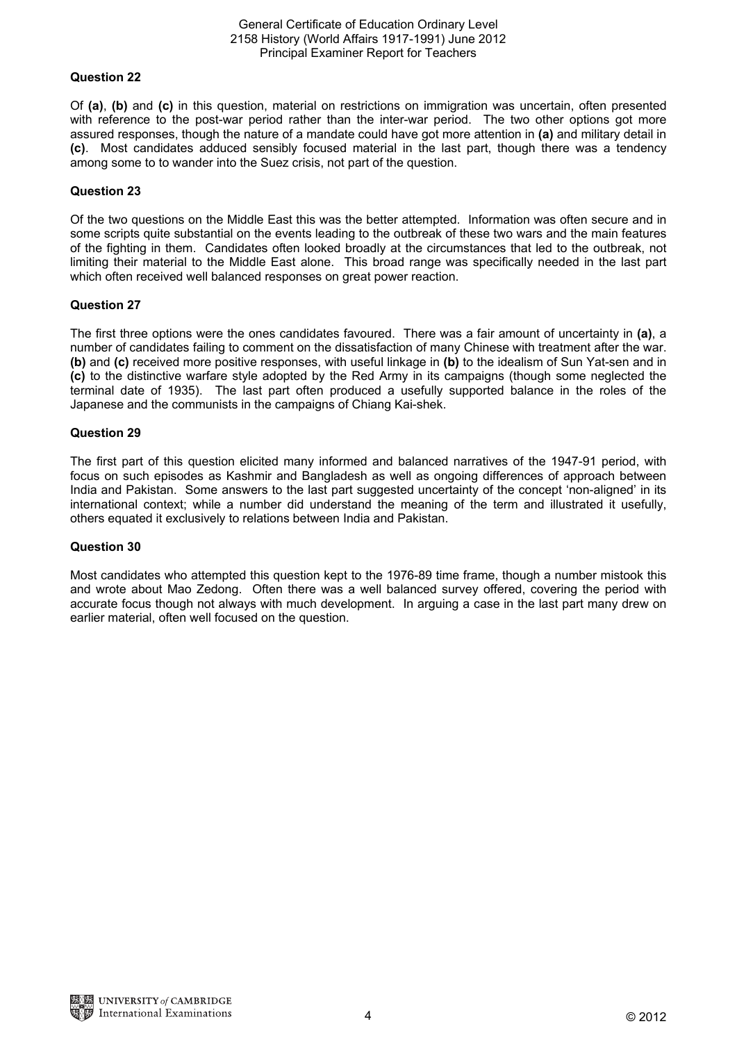### General Certificate of Education Ordinary Level 2158 History (World Affairs 1917-1991) June 2012 Principal Examiner Report for Teachers

# **Question 22**

Of **(a)**, **(b)** and **(c)** in this question, material on restrictions on immigration was uncertain, often presented with reference to the post-war period rather than the inter-war period. The two other options got more assured responses, though the nature of a mandate could have got more attention in **(a)** and military detail in **(c)**. Most candidates adduced sensibly focused material in the last part, though there was a tendency among some to to wander into the Suez crisis, not part of the question.

## **Question 23**

Of the two questions on the Middle East this was the better attempted. Information was often secure and in some scripts quite substantial on the events leading to the outbreak of these two wars and the main features of the fighting in them. Candidates often looked broadly at the circumstances that led to the outbreak, not limiting their material to the Middle East alone. This broad range was specifically needed in the last part which often received well balanced responses on great power reaction.

## **Question 27**

The first three options were the ones candidates favoured. There was a fair amount of uncertainty in **(a)**, a number of candidates failing to comment on the dissatisfaction of many Chinese with treatment after the war. **(b)** and **(c)** received more positive responses, with useful linkage in **(b)** to the idealism of Sun Yat-sen and in **(c)** to the distinctive warfare style adopted by the Red Army in its campaigns (though some neglected the terminal date of 1935). The last part often produced a usefully supported balance in the roles of the Japanese and the communists in the campaigns of Chiang Kai-shek.

## **Question 29**

The first part of this question elicited many informed and balanced narratives of the 1947-91 period, with focus on such episodes as Kashmir and Bangladesh as well as ongoing differences of approach between India and Pakistan. Some answers to the last part suggested uncertainty of the concept 'non-aligned' in its international context; while a number did understand the meaning of the term and illustrated it usefully, others equated it exclusively to relations between India and Pakistan.

### **Question 30**

Most candidates who attempted this question kept to the 1976-89 time frame, though a number mistook this and wrote about Mao Zedong. Often there was a well balanced survey offered, covering the period with accurate focus though not always with much development. In arguing a case in the last part many drew on earlier material, often well focused on the question.